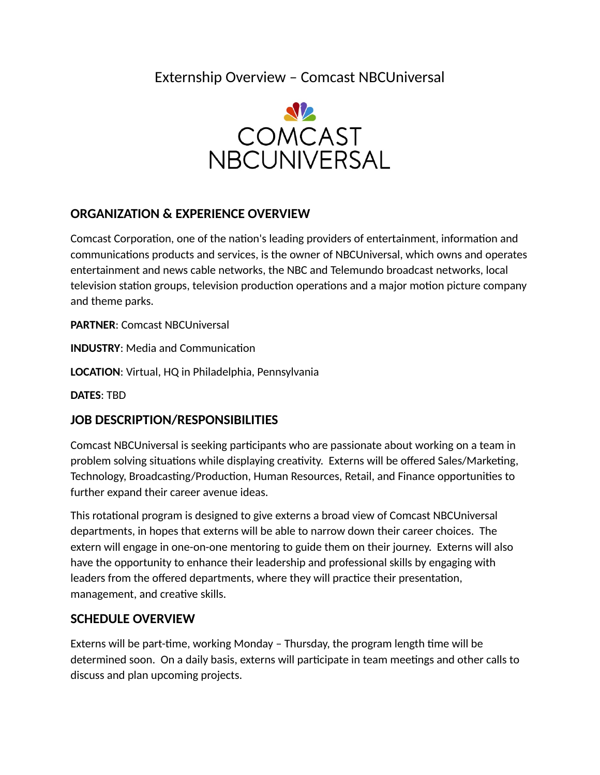Externship Overview – Comcast NBCUniversal



## **ORGANIZATION & EXPERIENCE OVERVIEW**

Comcast Corporation, one of the nation's leading providers of entertainment, information and communications products and services, is the owner of NBCUniversal, which owns and operates entertainment and news cable networks, the NBC and Telemundo broadcast networks, local television station groups, television production operations and a major motion picture company and theme parks.

**PARTNER**: Comcast NBCUniversal

**INDUSTRY**: Media and Communication

**LOCATION**: Virtual, HQ in Philadelphia, Pennsylvania

**DATES**: TBD

## **JOB DESCRIPTION/RESPONSIBILITIES**

Comcast NBCUniversal is seeking participants who are passionate about working on a team in problem solving situations while displaying creativity. Externs will be offered Sales/Marketing, Technology, Broadcasting/Production, Human Resources, Retail, and Finance opportunities to further expand their career avenue ideas.

This rotational program is designed to give externs a broad view of Comcast NBCUniversal departments, in hopes that externs will be able to narrow down their career choices. The extern will engage in one-on-one mentoring to guide them on their journey. Externs will also have the opportunity to enhance their leadership and professional skills by engaging with leaders from the offered departments, where they will practice their presentation, management, and creative skills.

## **SCHEDULE OVERVIEW**

Externs will be part-time, working Monday – Thursday, the program length time will be determined soon. On a daily basis, externs will participate in team meetings and other calls to discuss and plan upcoming projects.